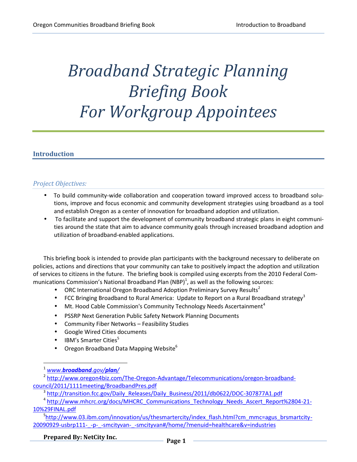# *Broadband Strategic Planning Briefing Book For Workgroup Appointees*

# **Introduction**

# *Project Objectives:*

- To build community-wide collaboration and cooperation toward improved access to broadband solutions, improve and focus economic and community development strategies using broadband as a tool and establish Oregon as a center of innovation for broadband adoption and utilization.
- To facilitate and support the development of community broadband strategic plans in eight communities around the state that aim to advance community goals through increased broadband adoption and utilization of broadband-enabled applications.

This briefing book is intended to provide plan participants with the background necessary to deliberate on policies, actions and directions that your community can take to positively impact the adoption and utilization of services to citizens in the future. The briefing book is compiled using excerpts from the 2010 Federal Communications Commission's National Broadband Plan (NBP)<sup>1</sup>, as well as the following sources:

- $\bullet$  ORC International Oregon Broadband Adoption Preliminary Survey Results<sup>2</sup>
- FCC Bringing Broadband to Rural America: Update to Report on a Rural Broadband strategy<sup>3</sup>
- $\bullet$  Mt. Hood Cable Commission's Community Technology Needs Ascertainment<sup>4</sup>
- PSSRP Next Generation Public Safety Network Planning Documents
- Community Fiber Networks Feasibility Studies
- Google Wired Cities documents
- $\bullet$  IBM's Smarter Cities<sup>5</sup>
- Oregon Broadband Data Mapping Website<sup>6</sup>

<sup>1</sup> *www.broadband.gov/plan/*

<sup>2</sup> http://www.oregon4biz.com/The-Oregon-Advantage/Telecommunications/oregon-broadband council/2011/1111meeting/BroadbandPres.pdf

<sup>&</sup>lt;sup>3</sup> http://transition.fcc.gov/Daily\_Releases/Daily\_Business/2011/db0622/DOC-307877A1.pdf

<sup>&</sup>lt;sup>4</sup> http://www.mhcrc.org/docs/MHCRC\_Communications\_Technology\_Needs\_Ascert\_Report%2804-21-10%29FINAL.pdf

<sup>&</sup>lt;sup>5</sup>http://www.03.ibm.com/innovation/us/thesmartercity/index\_flash.html?cm\_mmc=agus\_brsmartcity-20090929-usbrp111-\_-p-\_-smcityvan-\_-smcityvan#/home/?menuid=healthcare&v=industries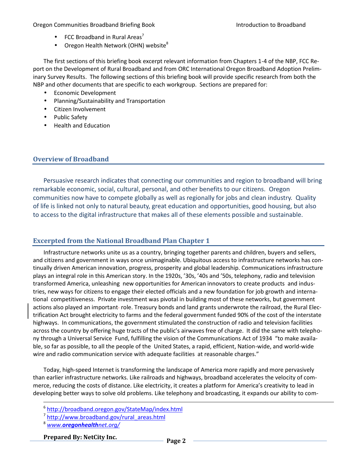- $\bullet$  FCC Broadband in Rural Areas<sup>7</sup>
- $\bullet$  Oregon Health Network (OHN) website<sup>8</sup>

The first sections of this briefing book excerpt relevant information from Chapters 1-4 of the NBP, FCC Report on the Development of Rural Broadband and from ORC International Oregon Broadband Adoption Preliminary Survey Results. The following sections of this briefing book will provide specific research from both the NBP and other documents that are specific to each workgroup. Sections are prepared for:

- **•** Economic Development
- Planning/Sustainability and Transportation
- Citizen Involvement
- Public Safety
- Health and Education

# **Overview of Broadband**

Persuasive research indicates that connecting our communities and region to broadband will bring remarkable economic, social, cultural, personal, and other benefits to our citizens. Oregon communities now have to compete globally as well as regionally for jobs and clean industry. Quality of life is linked not only to natural beauty, great education and opportunities, good housing, but also to access to the digital infrastructure that makes all of these elements possible and sustainable.

# **Excerpted from the National Broadband Plan Chapter 1**

Infrastructure networks unite us as a country, bringing together parents and children, buyers and sellers, and citizens and government in ways once unimaginable. Ubiquitous access to infrastructure networks has continually driven American innovation, progress, prosperity and global leadership. Communications infrastructure plays an integral role in this American story. In the 1920s, '30s, '40s and '50s, telephony, radio and television transformed America, unleashing new opportunities for American innovators to create products and industries, new ways for citizens to engage their elected officials and a new foundation for job growth and international competitiveness. Private investment was pivotal in building most of these networks, but government actions also played an important-role. Treasury bonds and land grants underwrote the railroad, the Rural Electrification Act brought electricity to farms and the federal government funded 90% of the cost of the interstate highways. In communications, the government stimulated the construction of radio and television facilities across the country by offering huge tracts of the public's airwaves free of charge. It did the same with telephony through a Universal Service Fund, fulfilling the vision of the Communications Act of 1934 "to make available, so far as possible, to all the people of the United States, a rapid, efficient, Nation-wide, and world-wide wire and radio communication service with adequate facilities at reasonable charges."

Today, high-speed Internet is transforming the landscape of America more rapidly and more pervasively than earlier infrastructure networks. Like railroads and highways, broadband accelerates the velocity of commerce, reducing the costs of distance. Like electricity, it creates a platform for America's creativity to lead in developing better ways to solve old problems. Like telephony and broadcasting, it expands our ability to com-

**Prepared By: NetCity Inc. Page <sup>2</sup>**

<sup>6</sup> http://broadband.oregon.gov/StateMap/index.html

<sup>7</sup> http://www.broadband.gov/rural\_areas.html

<sup>8</sup> *www.oregonhealthnet.org/*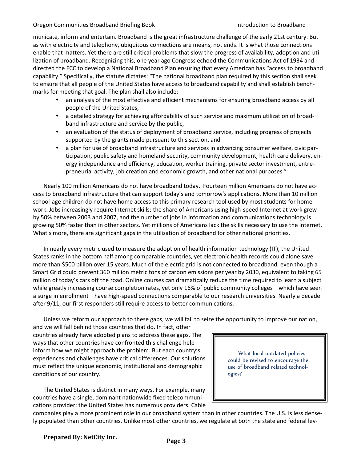municate, inform and entertain. Broadband is the great infrastructure challenge of the early 21st century. But as with electricity and telephony, ubiquitous connections are means, not ends. It is what those connections enable that matters. Yet there are still critical problems that slow the progress of availability, adoption and utilization of broadband. Recognizing this, one year ago Congress echoed the Communications Act of 1934 and directed the FCC to develop a National Broadband Plan ensuring that every American has "access to broadband capability." Specifically, the statute dictates: "The national broadband plan required by this section shall seek to ensure that all people of the United States have access to broadband capability and shall establish benchmarks for meeting that goal. The plan shall also include:

- an analysis of the most effective and efficient mechanisms for ensuring broadband access by all people of the United States,
- a detailed strategy for achieving affordability of such service and maximum utilization of broadband infrastructure and service by the public,
- an evaluation of the status of deployment of broadband service, including progress of projects supported by the grants made pursuant to this section, and
- a plan for use of broadband infrastructure and services in advancing consumer welfare, civic participation, public safety and homeland security, community development, health care delivery, energy independence and efficiency, education, worker training, private sector investment, entrepreneurial activity, job creation and economic growth, and other national purposes."

Nearly 100 million Americans do not have broadband today. Fourteen million Americans do not have access to broadband infrastructure that can support today's and tomorrow's applications. More than 10 million school-age children do not have home access to this primary research tool used by most students for homework. Jobs increasingly require Internet skills; the share of Americans using high-speed Internet at work grew by 50% between 2003 and 2007, and the number of jobs in information and communications technology is growing 50% faster than in other sectors. Yet millions of Americans lack the skills necessary to use the Internet. What's more, there are significant gaps in the utilization of broadband for other national priorities.

In nearly every metric used to measure the adoption of health information technology (IT), the United States ranks in the bottom half among comparable countries, yet electronic health records could alone save more than \$500 billion over 15 years. Much of the electric grid is not connected to broadband, even though a Smart Grid could prevent 360 million metric tons of carbon emissions per year by 2030, equivalent to taking 65 million of today's cars off the road. Online courses can dramatically reduce the time required to learn a subject while greatly increasing course completion rates, yet only 16% of public community colleges—which have seen a surge in enrollment—have high-speed connections comparable to our research universities. Nearly a decade after 9/11, our first responders still require access to better communications.

Unless we reform our approach to these gaps, we will fail to seize the opportunity to improve our nation,

and we will fall behind those countries that do. In fact, other countries already have adopted plans to address these gaps. The ways that other countries have confronted this challenge help inform how we might approach the problem. But each country's experiences and challenges have critical differences. Our solutions must reflect the unique economic, institutional and demographic conditions of our country.

The United States is distinct in many ways. For example, many countries have a single, dominant nationwide fixed telecommunications provider; the United States has numerous providers. Cable

What local outdated policies could be revised to encourage the use of broadband related technologies?

companies play a more prominent role in our broadband system than in other countries. The U.S. is less densely populated than other countries. Unlike most other countries, we regulate at both the state and federal lev-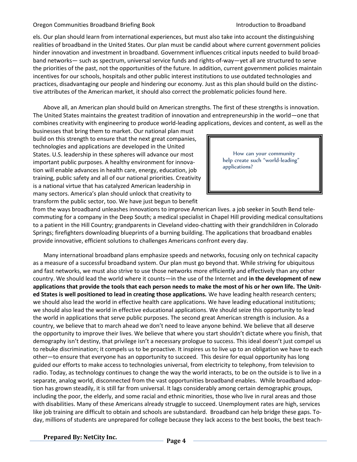els. Our plan should learn from international experiences, but must also take into account the distinguishing realities of broadband in the United States. Our plan must be candid about where current government policies hinder innovation and investment in broadband. Government influences critical inputs needed to build broadband networks— such as spectrum, universal service funds and rights-of-way—yet all are structured to serve the priorities of the past, not the opportunities of the future. In addition, current government policies maintain incentives for our schools, hospitals and other public interest institutions to use outdated technologies and practices, disadvantaging our people and hindering our economy. Just as this plan should build on the distinctive attributes of the American market, it should also correct the problematic policies found here.

Above all, an American plan should build on American strengths. The first of these strengths is innovation. The United States maintains the greatest tradition of innovation and entrepreneurship in the world—one that combines creativity with engineering to produce world-leading applications, devices and content, as well as the

businesses that bring them to market. Our national plan must build on this strength to ensure that the next great companies, technologies and applications are developed in the United States. U.S. leadership in these spheres will advance our most important public purposes. A healthy environment for innovation will enable advances in health care, energy, education, job training, public safety and all of our national priorities. Creativity is a national virtue that has catalyzed American leadership in many sectors. America's plan should unlock that creativity to transform the public sector, too. We have just begun to benefit

How can your community help create such "world-leading" applications?

from the ways broadband unleashes innovations to improve American lives. a job seeker in South Bend telecommuting for a company in the Deep South; a medical specialist in Chapel Hill providing medical consultations to a patient in the Hill Country; grandparents in Cleveland video-chatting with their grandchildren in Colorado Springs; firefighters downloading blueprints of a burning building. The applications that broadband enables provide innovative, efficient solutions to challenges Americans confront every day.

Many international broadband plans emphasize speeds and networks, focusing only on technical capacity as a measure of a successful broadband system. Our plan must go beyond that. While striving for ubiquitous and fast networks, we must also strive to use those networks more efficiently and effectively than any other country. We should lead the world where it counts—in the use of the Internet and **in the development of new applications that provide the tools that each person needs to make the most of his or her own life. The United States is well positioned to lead in creating those applications.** We have leading health research centers; we should also lead the world in effective health care applications. We have leading educational institutions; we should also lead the world in effective educational applications. We should seize this opportunity to lead the world in applications that serve public purposes. The second great American strength is inclusion. As a country, we believe that to march ahead we don't need to leave anyone behind. We believe that all deserve the opportunity to improve their lives. We believe that where you start shouldn't dictate where you finish, that demography isn't destiny, that privilege isn't a necessary prologue to success. This ideal doesn't just compel us to rebuke discrimination; it compels us to be proactive. It inspires us to live up to an obligation we have to each other—to ensure that everyone has an opportunity to succeed. This desire for equal opportunity has long guided our efforts to make access to technologies universal, from electricity to telephony, from television to radio. Today, as technology continues to change the way the world interacts, to be on the outside is to live in a separate, analog world, disconnected from the vast opportunities broadband enables. While broadband adoption has grown steadily, it is still far from universal. It lags considerably among certain demographic groups, including the poor, the elderly, and some racial and ethnic minorities, those who live in rural areas and those with disabilities. Many of these Americans already struggle to succeed. Unemployment rates are high, services like job training are difficult to obtain and schools are substandard. Broadband can help bridge these gaps. Today, millions of students are unprepared for college because they lack access to the best books, the best teach-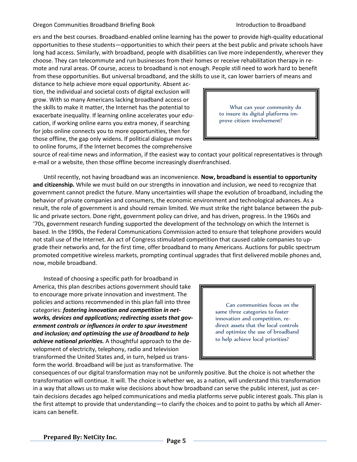ers and the best courses. Broadband-enabled online learning has the power to provide high-quality educational opportunities to these students—opportunities to which their peers at the best public and private schools have long had access. Similarly, with broadband, people with disabilities can live more independently, wherever they choose. They can telecommute and run businesses from their homes or receive rehabilitation therapy in remote and rural areas. Of course, access to broadband is not enough. People still need to work hard to benefit from these opportunities. But universal broadband, and the skills to use it, can lower barriers of means and

distance to help achieve more equal opportunity. Absent action, the individual and societal costs of digital exclusion will grow. With so many Americans lacking broadband access or the skills to make it matter, the Internet has the potential to exacerbate inequality. If learning online accelerates your education, if working online earns you extra money, if searching for jobs online connects you to more opportunities, then for those offline, the gap only widens. If political dialogue moves to online forums, if the Internet becomes the comprehensive

What can your community do to insure its digital platforms im prove citizen involvement?

source of real-time news and information, if the easiest way to contact your political representatives is through e-mail or a website, then those offline become increasingly disenfranchised.

Until recently, not having broadband was an inconvenience. **Now, broadband is essential to opportunity and citizenship.** While we must build on our strengths in innovation and inclusion, we need to recognize that government cannot predict the future. Many uncertainties will shape the evolution of broadband, including the behavior of private companies and consumers, the economic environment and technological advances. As a result, the role of government is and should remain limited. We must strike the right balance between the public and private sectors. Done right, government policy can drive, and has driven, progress. In the 1960s and '70s, government research funding supported the development of the technology on which the Internet is based. In the 1990s, the Federal Communications Commission acted to ensure that telephone providers would not stall use of the Internet. An act of Congress stimulated competition that caused cable companies to upgrade their networks and, for the first time, offer broadband to many Americans. Auctions for public spectrum promoted competitive wireless markets, prompting continual upgrades that first delivered mobile phones and, now, mobile broadband.

Instead of choosing a specific path for broadband in America, this plan describes actions government should take to encourage more private innovation and investment. The policies and actions recommended in this plan fall into three categories: *fostering innovation and competition in networks, devices and applications; redirecting assets that government controls or influences in order to spur investment and inclusion; and optimizing the use of broadband to help achieve national priorities.* A thoughtful approach to the development of electricity, telephony, radio and television transformed the United States and, in turn, helped us transform the world. Broadband will be just as transformative. The

Can communities focus on the same three categories to foster innovation and competition, re direct assets that the local controls and optimize the use of broadband to help achieve local priorities?

consequences of our digital transformation may not be uniformly positive. But the choice is not whether the transformation will continue. It will. The choice is whether we, as a nation, will understand this transformation in a way that allows us to make wise decisions about how broadband can serve the public interest, just as certain decisions decades ago helped communications and media platforms serve public interest goals. This plan is the first attempt to provide that understanding—to clarify the choices and to point to paths by which all Americans can benefit.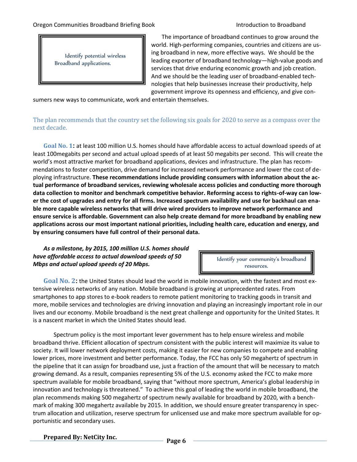Identify potential wireless Broadband applications.

The importance of broadband continues to grow around the world. High-performing companies, countries and citizens are using broadband in new, more effective ways. We should be the leading exporter of broadband technology—high-value goods and services that drive enduring economic growth and job creation. And we should be the leading user of broadband-enabled technologies that help businesses increase their productivity, help government improve its openness and efficiency, and give con-

sumers new ways to communicate, work and entertain themselves.

The plan recommends that the country set the following six goals for 2020 to serve as a compass over the next decade.

**Goal No. 1:** at least 100 million U.S. homes should have affordable access to actual download speeds of at least 100megabits per second and actual upload speeds of at least 50 megabits per second. This will create the world's most attractive market for broadband applications, devices and infrastructure. The plan has recommendations to foster competition, drive demand for increased network performance and lower the cost of deploying infrastructure. **These recommendations include providing consumers with information about the actual performance of broadband services, reviewing wholesale access policies and conducting more thorough data collection to monitor and benchmark competitive behavior. Reforming access to rights-of-way can lower the cost of upgrades and entry for all firms. Increased spectrum availability and use for backhaul can enable more capable wireless networks that will drive wired providers to improve network performance and ensure service is affordable. Government can also help create demand for more broadband by enabling new applications across our most important national priorities, including health care, education and energy, and by ensuring consumers have full control of their personal data.**

## *As a milestone, by 2015, 100 million U.S. homes should have affordable access to actual download speeds of 50 Mbps and actual upload speeds of 20 Mbps.*

Identify your community's broadband resources.

**Goal No. 2:** the United States should lead the world in mobile innovation, with the fastest and most extensive wireless networks of any nation. Mobile broadband is growing at unprecedented rates. From smartphones to app stores to e-book readers to remote patient monitoring to tracking goods in transit and more, mobile services and technologies are driving innovation and playing an increasingly important role in our lives and our economy. Mobile broadband is the next great challenge and opportunity for the United States. It is a nascent market in which the United States should lead.

Spectrum policy is the most important lever government has to help ensure wireless and mobile broadband thrive. Efficient allocation of spectrum consistent with the public interest will maximize its value to society. It will lower network deployment costs, making it easier for new companies to compete and enabling lower prices, more investment and better performance. Today, the FCC has only 50 megahertz of spectrum in the pipeline that it can assign for broadband use, just a fraction of the amount that will be necessary to match growing demand. As a result, companies representing 5% of the U.S. economy asked the FCC to make more spectrum available for mobile broadband, saying that "without more spectrum, America's global leadership in innovation and technology is threatened." To achieve this goal of leading the world in mobile broadband, the plan recommends making 500 megahertz of spectrum newly available for broadband by 2020, with a bench mark of making 300 megahertz available by 2015. In addition, we should ensure greater transparency in spectrum allocation and utilization, reserve spectrum for unlicensed use and make more spectrum available for opportunistic and secondary uses.

**Prepared By: NetCity Inc. Page <sup>6</sup>**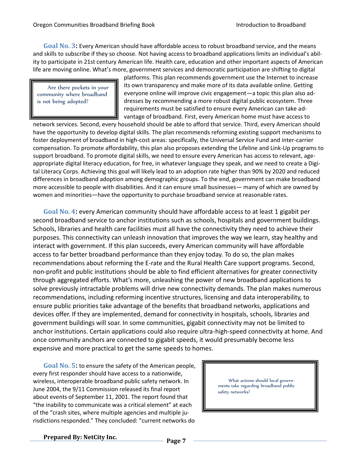**Goal No. 3:** Every American should have affordable access to robust broadband service, and the means and skills to subscribe if they so choose. Not having access to broadband applications limits an individual's ability to participate in 21st century American life. Health care, education and other important aspects of American life are moving online. What's more, government services and democratic participation are shifting to digital

Are there pockets in your community where broadband is not being adopted?

platforms. This plan recommends government use the Internet to increase its own transparency and make more of its data available online. Getting everyone online will improve civic engagement—a topic this plan also addresses by recommending a more robust digital public ecosystem. Three requirements must be satisfied to ensure every American can take advantage of broadband. First, every American home must have access to

network services. Second, every household should be able to afford that service. Third, every American should have the opportunity to develop digital skills. The plan recommends reforming existing support mechanisms to foster deployment of broadband in high-cost areas: specifically, the Universal Service Fund and inter-carrier compensation. To promote affordability, this plan also proposes extending the Lifeline and Link-Up programs to support broadband. To promote digital skills, we need to ensure every American has access to relevant, age appropriate digital literacy education, for free, in whatever language they speak, and we need to create a Digital Literacy Corps. Achieving this goal will likely lead to an adoption rate higher than 90% by 2020 and reduced differences in broadband adoption among demographic groups. To the end, government can make broadband more accessible to people with disabilities. And it can ensure small businesses— many of which are owned by women and minorities—have the opportunity to purchase broadband service at reasonable rates.

**Goal No. 4:** every American community should have affordable access to at least 1 gigabit per second broadband service to anchor institutions such as schools, hospitals and government buildings. Schools, libraries and health care facilities must all have the connectivity they need to achieve their purposes. This connectivity can unleash innovation that improves the way we learn, stay healthy and interact with government. If this plan succeeds, every American community will have affordable access to far better broadband performance than they enjoy today. To do so, the plan makes recommendations about reforming the E-rate and the Rural Health Care support programs. Second, non-profit and public institutions should be able to find efficient alternatives for greater connectivity through aggregated efforts. What's more, unleashing the power of new broadband applications to solve previously intractable problems will drive new connectivity demands. The plan makes numerous recommendations, including reforming incentive structures, licensing and data interoperability, to ensure public priorities take advantage of the benefits that broadband networks, applications and devices offer. If they are implemented, demand for connectivity in hospitals, schools, libraries and government buildings will soar. In some communities, gigabit connectivity may not be limited to anchor institutions. Certain applications could also require ultra-high-speed connectivity at home. And once community anchors are connected to gigabit speeds, it would presumably become less expensive and more practical to get the same speeds to homes.

**Goal No. 5:** to ensure the safety of the American people, every first responder should have access to a nationwide, wireless, interoperable broadband public safety network. In June 2004, the 9/11 Commission released its final report about events of September 11, 2001. The report found that "the inability to communicate was a critical element" at each of the "crash sites, where multiple agencies and multiple jurisdictions responded." They concluded: "current networks do

What actions should local govern ments take regarding broadband public safety networks?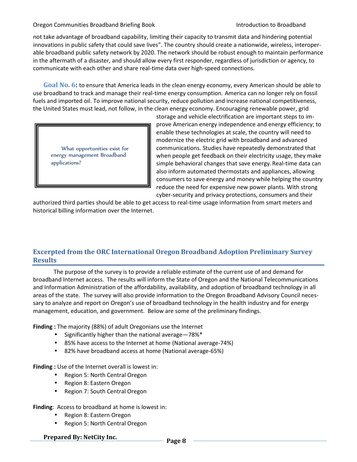not take advantage of broadband capability, limiting their capacity to transmit data and hindering potential innovations in public safety that could save lives". The country should create a nationwide, wireless, interoperable broadband public safety network by 2020. The network should be robust enough to maintain performance in the aftermath of a disaster, and should allow every first responder, regardless of jurisdiction or agency, to communicate with each other and share real-time data over high-speed connections.

**Goal No. 6:** to ensure that America leads in the clean energy economy, every American should be able to use broadband to track and manage their real-time energy consumption. America can no longer rely on fossil fuels and imported oil. To improve national security, reduce pollution and increase national competitiveness, the United States must lead, not follow, in the clean energy economy. Encouraging renewable power, grid

What opportunities exist for energy management Broadband applications?

storage and vehicle electrification are important steps to improve American energy independence and energy efficiency; to enable these technologies at scale, the country will need to modernize the electric grid with broadband and advanced communications. Studies have repeatedly demonstrated that when people get feedback on their electricity usage, they make simple behavioral changes that save energy.Real-time data can also inform automated thermostats and appliances, allowing consumers to save energy and money while helping the country reduce the need for expensive new power plants. With strong cyber-security and privacy protections, consumers and their

authorized third parties should be able to get access to real-time usage information from smart meters and historical billing information over the Internet.

# **Excerpted from the ORC International Oregon Broadband Adoption Preliminary Survey Results**

The purpose of the survey is to provide a reliable estimate of the current use of and demand for broadband Internet access. The results will inform the State of Oregon and the National Telecommunications and Information Administration of the affordability, availability, and adoption of broadband technology in all areas of the state. The survey will also provide information to the Oregon Broadband Advisory Council necessary to analyze and report on Oregon's use of broadband technology in the health industry and for energy management, education, and government. Below are some of the preliminary findings.

**Finding :** The majority (88%) of adult Oregonians use the Internet

- $\bullet$  Significantly higher than the national average -78%\*
- 85% have access to the Internet at home (National average-74%)
- 82% have broadband access at home (National average-65%)

**Finding :** Use of the Internet overall is lowest in:

- Region 5: North Central Oregon
- Region 8: Eastern Oregon
- Region 7: South Central Oregon

**Finding**: Access to broadband at home is lowest in:

- Region 8: Eastern Oregon
- Region 5: North Central Oregon

**Prepared By: NetCity Inc. Page <sup>8</sup>**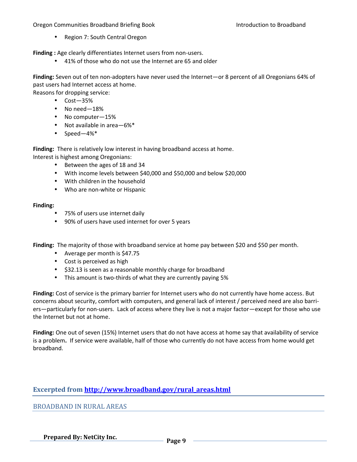• Region 7: South Central Oregon

**Finding :** Age clearly differentiates Internet users from non-users.

41% of those who do not use the Internet are 65 and older

**Finding:** Seven out of ten non-adopters have never used the Internet—or 8 percent of all Oregonians 64% of past users had Internet access at home.

Reasons for dropping service:

- $\bullet$  Cost $-35%$
- No need-18%
- No computer-15%
- Not available in area-6%\*
- $\bullet$  Speed-4%\*

**Finding:** There is relatively low interest in having broadband access at home. Interest is highest among Oregonians:

- Between the ages of 18 and 34
- With income levels between \$40,000 and \$50,000 and below \$20,000
- With children in the household
- Who are non-white or Hispanic

### **Finding:**

- 75% of users use internet daily
- 90% of users have used internet for over 5 years

**Finding:** The majority of those with broadband service at home pay between \$20 and \$50 per month.

- Average per month is \$47.75
- Cost is perceived as high
- \$32.13 is seen as a reasonable monthly charge for broadband
- This amount is two-thirds of what they are currently paying 5%

**Finding:** Cost of service is the primary barrier for Internet users who do not currently have home access. But concerns about security, comfort with computers, and general lack of interest / perceived need are also barriers—particularly for non-users. Lack of access where they live is not a major factor—except for those who use the Internet but not at home.

**Finding:** One out of seven (15%) Internet users that do not have access at home say that availability of service is a problem**.** If service were available, half of those who currently do not have access from home would get broadband.

# **Excerpted from http://www.broadband.gov/rural\_areas.html**

BROADBAND IN RURAL AREAS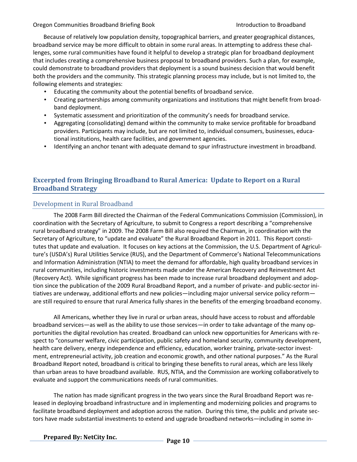Because of relatively low population density, topographical barriers, and greater geographical distances, broadband service may be more difficult to obtain in some rural areas. In attempting to address these challenges, some rural communities have found it helpful to develop a strategic plan for broadband deployment that includes creating a comprehensive business proposal to broadband providers. Such a plan, for example, could demonstrate to broadband providers that deployment is a sound business decision that would benefit both the providers and the community. This strategic planning process may include, but is not limited to, the following elements and strategies:

- Educating the community about the potential benefits of broadband service.
- Creating partnerships among community organizations and institutions that might benefit from broadband deployment.
- Systematic assessment and prioritization of the community's needs for broadband service.
- Aggregating (consolidating) demand within the community to make service profitable for broadband providers. Participants may include, but are not limited to, individual consumers, businesses, educational institutions, health care facilities, and government agencies.
- Identifying an anchor tenant with adequate demand to spur infrastructure investment in broadband.

# **Excerpted from Bringing Broadband to Rural America: Update to Report on a Rural Broadband Strategy**

# Development in Rural Broadband

The 2008 Farm Bill directed the Chairman of the Federal Communications Commission (Commission), in coordination with the Secretary of Agriculture, to submit to Congress a report describing a "comprehensive rural broadband strategy" in 2009. The 2008 Farm Bill also required the Chairman, in coordination with the Secretary of Agriculture, to "update and evaluate" the Rural Broadband Report in 2011. This Report constitutes that update and evaluation. It focuses on key actions at the Commission, the U.S. Department of Agriculture's (USDA's) Rural Utilities Service (RUS), and the Department of Commerce's National Telecommunications and Information Administration (NTIA) to meet the demand for affordable, high quality broadband services in rural communities, including historic investments made under the American Recovery and Reinvestment Act (Recovery Act). While significant progress has been made to increase rural broadband deployment and adoption since the publication of the 2009 Rural Broadband Report, and a number of private- and public-sector initiatives are underway, additional efforts and new policies—including major universal service policy reform are still required to ensure that rural America fully shares in the benefits of the emerging broadband economy.

All Americans, whether they live in rural or urban areas, should have access to robust and affordable broadband services—as well as the ability to use those services—in order to take advantage of the many opportunities the digital revolution has created. Broadband can unlock new opportunities for Americans with respect to "consumer welfare, civic participation, public safety and homeland security, community development, health care delivery, energy independence and efficiency, education, worker training, private-sector investment, entrepreneurial activity, job creation and economic growth, and other national purposes." As the Rural Broadband Report noted, broadband is critical to bringing these benefits to rural areas, which are less likely than urban areas to have broadband available. RUS, NTIA, and the Commission are working collaboratively to evaluate and support the communications needs of rural communities.

The nation has made significant progress in the two years since the Rural Broadband Report was released in deploying broadband infrastructure and in implementing and modernizing policies and programs to facilitate broadband deployment and adoption across the nation. During this time, the public and private sectors have made substantial investments to extend and upgrade broadband networks—including in some in-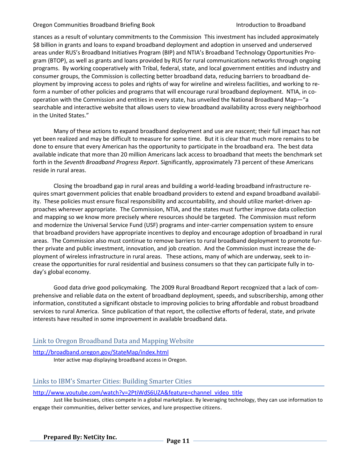stances as a result of voluntary commitments to the Commission This investment has included approximately \$8 billion in grants and loans to expand broadband deployment and adoption in unserved and underserved areas under RUS's Broadband Initiatives Program (BIP) and NTIA's Broadband Technology Opportunities Program (BTOP), as well as grants and loans provided by RUS for rural communications networks through ongoing programs. By working cooperatively with Tribal, federal, state, and local government entities and industry and consumer groups, the Commission is collecting better broadband data, reducing barriers to broadband deployment by improving access to poles and rights of way for wireline and wireless facilities, and working to reform a number of other policies and programs that will encourage rural broadband deployment. NTIA, in cooperation with the Commission and entities in every state, has unveiled the National Broadband Map—"a searchable and interactive website that allows users to view broadband availability across every neighborhood in the United States."

Many of these actions to expand broadband deployment and use are nascent; their full impact has not yet been realized and may be difficult to measure for some time. But it is clear that much more remains to be done to ensure that every American has the opportunity to participate in the broadband era. The best data available indicate that more than 20 million Americans lack access to broadband that meets the benchmark set forth in the *Seventh Broadband Progress Report*. Significantly, approximately 73 percent of these Americans reside in rural areas.

Closing the broadband gap in rural areas and building a world-leading broadband infrastructure requires smart government policies that enable broadband providers to extend and expand broadband availability. These policies must ensure fiscal responsibility and accountability, and should utilize market-driven approaches wherever appropriate. The Commission, NTIA, and the states must further improve data collection and mapping so we know more precisely where resources should be targeted. The Commission must reform and modernize the Universal Service Fund (USF) programs and inter-carrier compensation system to ensure that broadband providers have appropriate incentives to deploy and encourage adoption of broadband in rural areas. The Commission also must continue to remove barriers to rural broadband deployment to promote further private and public investment, innovation, and job creation. And the Commission must increase the deployment of wireless infrastructure in rural areas. These actions, many of which are underway, seek to increase the opportunities for rural residential and business consumers so that they can participate fully in today's global economy.

Good data drive good policymaking. The 2009 Rural Broadband Report recognized that a lack of comprehensive and reliable data on the extent of broadband deployment, speeds, and subscribership, among other information, constituted a significant obstacle to improving policies to bring affordable and robust broadband services to rural America. Since publication of that report, the collective efforts of federal, state, and private interests have resulted in some improvement in available broadband data.

# Link to Oregon Broadband Data and Mapping Website

http://broadband.oregon.gov/StateMap/index.html Inter active map displaying broadband access in Oregon.

# Links to IBM's Smarter Cities: Building Smarter Cities

http://www.youtube.com/watch?v=2PtiWdS6UZA&feature=channel\_video\_title

Just like businesses, cities compete in a global marketplace. By leveraging technology, they can use information to engage their communities, deliver better services, and lure prospective citizens.